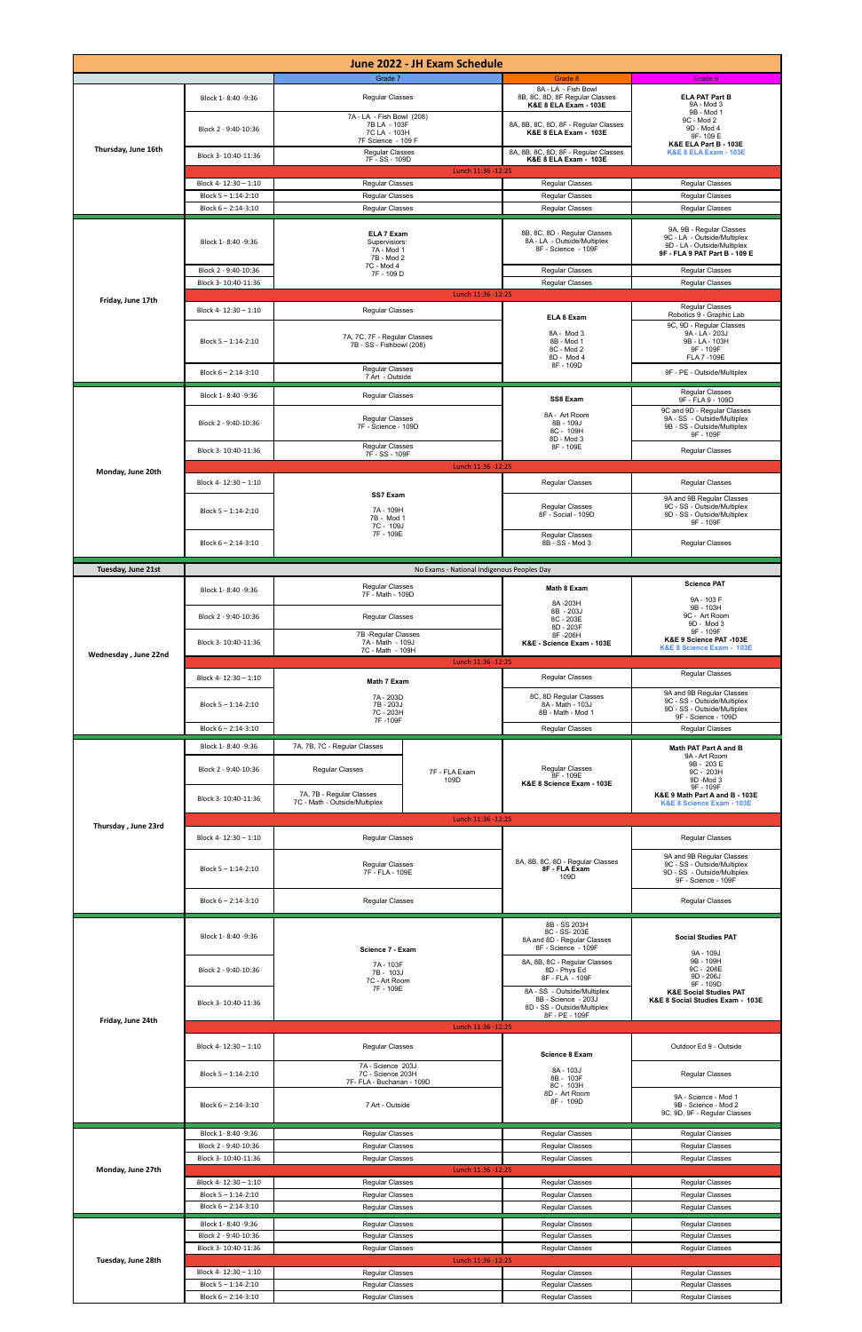| June 2022 - JH Exam Schedule |                                                                      |                                                                                                                                                |                                            |                                                                                                                                                                                                    |                                                                                                                                                                  |  |  |  |
|------------------------------|----------------------------------------------------------------------|------------------------------------------------------------------------------------------------------------------------------------------------|--------------------------------------------|----------------------------------------------------------------------------------------------------------------------------------------------------------------------------------------------------|------------------------------------------------------------------------------------------------------------------------------------------------------------------|--|--|--|
| Thursday, June 16th          | Block 1-8:40 -9:36<br>Block 2 - 9:40-10:36<br>Block 3-10:40-11:36    | Grade 7<br><b>Regular Classes</b><br>7A - LA - Fish Bowl (208)<br>7B LA - 103F<br>7C LA - 103H<br>7F Science - 109 F<br><b>Regular Classes</b> |                                            | Grade 8<br>8A - LA - Fish Bowl<br>8B, 8C, 8D, 8F Regular Classes<br>K&E 8 ELA Exam - 103E<br>8A, 8B, 8C, 8D, 8F - Regular Classes<br>K&E 8 ELA Exam - 103E<br>8A, 8B, 8C, 8D, 8F - Regular Classes | Grade 9<br><b>ELA PAT Part B</b><br>9A - Mod 3<br>9B - Mod 1<br>9C - Mod 2<br>9D - Mod 4<br>9F-109E<br>K&E ELA Part B - 103E<br><b>K&amp;E 8 ELA Exam - 103E</b> |  |  |  |
|                              | Block 4-12:30 - 1:10<br>Block 5-1:14-2:10<br>Block $6 - 2:14 - 3:10$ | 7F - SS - 109D<br>Lunch 11:36 -12:25<br><b>Regular Classes</b><br><b>Regular Classes</b><br><b>Regular Classes</b>                             |                                            | K&E 8 ELA Exam - 103E<br><b>Regular Classes</b><br><b>Regular Classes</b><br><b>Regular Classes</b>                                                                                                | <b>Regular Classes</b><br><b>Regular Classes</b><br><b>Regular Classes</b>                                                                                       |  |  |  |
| Friday, June 17th            | Block 1-8:40 -9:36<br>Block 2 - 9:40-10:36                           | <b>ELA 7 Exam</b><br>Supervisiors:<br>7A - Mod 1<br>7B - Mod 2<br>7C - Mod 4<br>7F - 109 D                                                     |                                            | 8B, 8C, 8D - Regular Classes<br>8A - LA - Outside/Multiplex<br>8F - Science - 109F<br><b>Regular Classes</b>                                                                                       | 9A, 9B - Regular Classes<br>9C - LA - Outside/Multiplex<br>9D - LA - Outside/Multiplex<br>9F - FLA 9 PAT Part B - 109 E<br><b>Regular Classes</b>                |  |  |  |
|                              | Block 3-10:40-11:36                                                  | Lunch 11:36 - 12:25                                                                                                                            |                                            | <b>Regular Classes</b>                                                                                                                                                                             | <b>Regular Classes</b>                                                                                                                                           |  |  |  |
|                              | Block 4-12:30 - 1:10<br>Block 5-1:14-2:10                            | <b>Regular Classes</b><br>7A, 7C, 7F - Regular Classes<br>7B - SS - Fishbowl (208)                                                             |                                            | ELA 8 Exam<br>8A - Mod 3<br>8B - Mod 1<br>8C - Mod 2<br>8D - Mod 4                                                                                                                                 | <b>Regular Classes</b><br>Robotics 9 - Graphic Lab<br>9C, 9D - Regular Classes<br>9A - LA - 203J<br>9B - LA - 103H<br>9F - 109F<br>FLA 7 -109E                   |  |  |  |
|                              | Block $6 - 2:14 - 3:10$                                              | <b>Regular Classes</b><br>7 Art - Outside                                                                                                      |                                            | 8F - 109D                                                                                                                                                                                          | 9F - PE - Outside/Multiplex                                                                                                                                      |  |  |  |
| Monday, June 20th            | Block 1-8:40 -9:36<br>Block 2 - 9:40-10:36                           | <b>Regular Classes</b><br><b>Regular Classes</b><br>7F - Science - 109D                                                                        |                                            | SS8 Exam<br>8A - Art Room<br>8B - 109J<br>8C - 109H                                                                                                                                                | <b>Regular Classes</b><br>9F - FLA 9 - 109D<br>9C and 9D - Regular Classes<br>9A - SS - Outside/Multiplex<br>9B - SS - Outside/Multiplex<br>9F - 109F            |  |  |  |
|                              | Block 3-10:40-11:36                                                  | <b>Regular Classes</b><br>7F - SS - 109F                                                                                                       |                                            | 8D - Mod 3<br>8F - 109E                                                                                                                                                                            | <b>Regular Classes</b>                                                                                                                                           |  |  |  |
|                              | Block 4-12:30 - 1:10                                                 | Lunch 11:36 -12:25                                                                                                                             |                                            | <b>Regular Classes</b>                                                                                                                                                                             | Regular Classes                                                                                                                                                  |  |  |  |
|                              | Block 5-1:14-2:10                                                    | SS7 Exam<br>7A - 109H<br>7B - Mod 1<br>7C - 109J<br>7F - 109E                                                                                  |                                            | <b>Regular Classes</b><br>8F - Social - 109D                                                                                                                                                       | 9A and 9B Regular Classes<br>9C - SS - Outside/Multiplex<br>9D - SS - Outside/Multiplex<br>9F - 109F                                                             |  |  |  |
|                              | Block $6 - 2:14 - 3:10$                                              |                                                                                                                                                |                                            | Regular Classes<br>8B - SS - Mod 3                                                                                                                                                                 | <b>Reqular Classes</b>                                                                                                                                           |  |  |  |
| Tuesday, June 21st           |                                                                      |                                                                                                                                                | No Exams - National Indigenous Peoples Day |                                                                                                                                                                                                    |                                                                                                                                                                  |  |  |  |
|                              | Block 1-8:40 -9:36<br>Block 2 - 9:40-10:36                           | Regular Classes<br>7F - Math - 109D<br><b>Regular Classes</b>                                                                                  |                                            | Math 8 Exam<br>8A-203H<br>8B - 203J<br>8C - 203E                                                                                                                                                   | <b>Science PAT</b><br>9A - 103 F<br>9B - 103H<br>9C - Art Room                                                                                                   |  |  |  |
|                              | Block 3-10:40-11:36                                                  | 7B - Regular Classes<br>7A - Math - 109J                                                                                                       |                                            | 8D - 203F<br>8F-206H<br>K&E - Science Exam - 103E                                                                                                                                                  | 9D - Mod 3<br>9F - 109F<br>K&E 9 Science PAT -103E<br>K&E 8 Science Exam - 103E                                                                                  |  |  |  |
| Wednesday, June 22nd         |                                                                      | 7C - Math - 109H<br>Lunch 11:36 -12:25                                                                                                         |                                            |                                                                                                                                                                                                    |                                                                                                                                                                  |  |  |  |
|                              | Block 4-12:30 - 1:10                                                 | <b>Math 7 Exam</b><br>7A - 203D                                                                                                                |                                            | <b>Regular Classes</b><br>8C, 8D Regular Classes                                                                                                                                                   | <b>Regular Classes</b><br>9A and 9B Regular Classes                                                                                                              |  |  |  |
|                              | Block 5-1:14-2:10<br>Block 6-2:14-3:10                               | 7B - 203J<br>7C - 203H<br>7F-109F                                                                                                              |                                            | 8A - Math - 103J<br>8B - Math - Mod 1<br>Regular Classes                                                                                                                                           | 9C - SS - Outside/Multiplex<br>9D - SS - Outside/Multiplex<br>9F - Science - 109D<br><b>Regular Classes</b>                                                      |  |  |  |
|                              | Block 1-8:40 -9:36<br>Block 2 - 9:40-10:36<br>Block 3-10:40-11:36    | 7A, 7B, 7C - Regular Classes<br><b>Regular Classes</b><br>7A, 7B - Regular Classes<br>7C - Math - Outside/Multiplex                            | 7F - FLA Exam<br>109D                      | <b>Regular Classes</b><br>8F - 109E<br>K&E 8 Science Exam - 103E                                                                                                                                   | Math PAT Part A and B<br>9A - Art Room<br>9B - 203 E<br>9C - 203H<br>9D -Mod 3<br>9F - 109F<br>K&E 9 Math Part A and B - 103E<br>K&E 8 Science Exam - 103E       |  |  |  |
| Thursday, June 23rd          |                                                                      | Lunch 11:36 -12:25                                                                                                                             |                                            |                                                                                                                                                                                                    |                                                                                                                                                                  |  |  |  |
|                              | Block 4-12:30 - 1:10<br>Block $5 - 1:14 - 2:10$                      | <b>Regular Classes</b><br><b>Regular Classes</b>                                                                                               |                                            | 8A, 8B, 8C, 8D - Regular Classes<br>8F - FLA Exam<br>109D                                                                                                                                          | <b>Regular Classes</b><br>9A and 9B Regular Classes<br>9C - SS - Outside/Multiplex<br>9D - SS - Outside/Multiplex                                                |  |  |  |
|                              |                                                                      | 7F - FLA - 109E                                                                                                                                |                                            |                                                                                                                                                                                                    | 9F - Science - 109F                                                                                                                                              |  |  |  |
|                              | Block $6 - 2:14 - 3:10$                                              | <b>Regular Classes</b>                                                                                                                         |                                            |                                                                                                                                                                                                    | <b>Regular Classes</b>                                                                                                                                           |  |  |  |
| Friday, June 24th            | Block 1-8:40 -9:36                                                   | Science 7 - Exam<br>7A - 103F<br>7B - 103J<br>7C - Art Room<br>7F - 109E<br>Lunch 11:36 -12:25                                                 |                                            | 8B - SS 203H<br>8C - SS-203E<br>8A and 8D - Regular Classes<br>8F - Science - 109F<br>8A, 8B, 8C - Regular Classes                                                                                 | <b>Social Studies PAT</b><br>9A - 109J<br>9B - 109H                                                                                                              |  |  |  |
|                              | Block 2 - 9:40-10:36<br>Block 3-10:40-11:36                          |                                                                                                                                                |                                            | 8D - Phys Ed<br>8F - FLA - 109F<br>8A - SS - Outside/Multiplex<br>8B - Science - 203J<br>8D - SS - Outside/Multiplex                                                                               | 9C - 206E<br>9D - 206J<br>9F - 109D<br><b>K&amp;E Social Studies PAT</b><br>K&E 8 Social Studies Exam - 103E                                                     |  |  |  |
|                              |                                                                      |                                                                                                                                                |                                            | 8F - PE - 109F                                                                                                                                                                                     |                                                                                                                                                                  |  |  |  |
|                              | Block 4-12:30 - 1:10                                                 | <b>Regular Classes</b>                                                                                                                         |                                            | Science 8 Exam                                                                                                                                                                                     | Outdoor Ed 9 - Outside                                                                                                                                           |  |  |  |
|                              | Block 5-1:14-2:10                                                    | 7A - Science 203J<br>7C - Science 203H<br>7F- FLA - Buchanan - 109D                                                                            |                                            | 8A - 103J<br>8B - 103F<br>8C - 103H<br>8D - Art Room                                                                                                                                               | <b>Regular Classes</b><br>9A - Science - Mod 1                                                                                                                   |  |  |  |
|                              | Block $6 - 2:14 - 3:10$                                              | 7 Art - Outside                                                                                                                                |                                            | 8F - 109D                                                                                                                                                                                          | 9B - Science - Mod 2<br>9C, 9D, 9F - Regular Classes                                                                                                             |  |  |  |
| Monday, June 27th            | Block 1-8:40 -9:36<br>Block 2 - 9:40-10:36                           | <b>Regular Classes</b><br><b>Regular Classes</b>                                                                                               |                                            | Regular Classes<br><b>Regular Classes</b>                                                                                                                                                          | Regular Classes<br><b>Reqular Classes</b>                                                                                                                        |  |  |  |
|                              | Block 3-10:40-11:36                                                  | <b>Regular Classes</b><br>Lunch 11:36 - 12:25                                                                                                  |                                            | <b>Regular Classes</b>                                                                                                                                                                             | Regular Classes                                                                                                                                                  |  |  |  |
|                              | Block 4-12:30 - 1:10<br>Block 5-1:14-2:10                            | <b>Regular Classes</b><br><b>Regular Classes</b>                                                                                               |                                            | <b>Regular Classes</b><br><b>Reqular Classes</b>                                                                                                                                                   | Regular Classes<br><b>Regular Classes</b>                                                                                                                        |  |  |  |
|                              | Block $6 - 2:14 - 3:10$                                              | Regular Classes                                                                                                                                |                                            | <b>Regular Classes</b>                                                                                                                                                                             | Regular Classes                                                                                                                                                  |  |  |  |
| Tuesday, June 28th           | Block 1-8:40 -9:36<br>Block 2 - 9:40-10:36                           | <b>Regular Classes</b><br>Regular Classes                                                                                                      |                                            | <b>Reqular Classes</b><br>Regular Classes                                                                                                                                                          | Regular Classes<br>Regular Classes                                                                                                                               |  |  |  |
|                              | Block 3-10:40-11:36                                                  | <b>Regular Classes</b><br>Lunch 11:36 - 12:25                                                                                                  |                                            | <b>Regular Classes</b>                                                                                                                                                                             | Regular Classes                                                                                                                                                  |  |  |  |
|                              | Block 4-12:30 - 1:10<br>Block 5-1:14-2:10<br>Block 6-2:14-3:10       | Regular Classes<br><b>Regular Classes</b><br>Regular Classes                                                                                   |                                            | <b>Regular Classes</b><br>Regular Classes<br><b>Regular Classes</b>                                                                                                                                | Regular Classes<br>Regular Classes<br><b>Regular Classes</b>                                                                                                     |  |  |  |